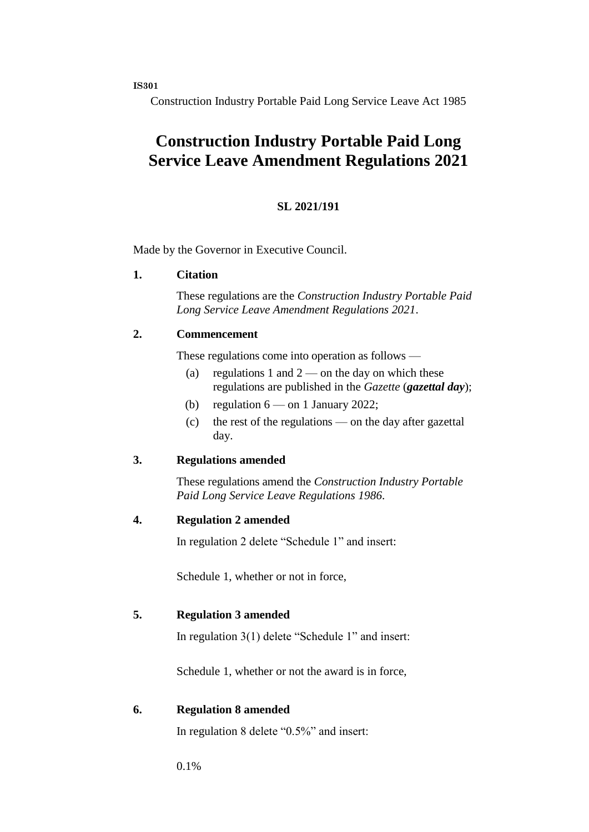**IS301**

Construction Industry Portable Paid Long Service Leave Act 1985

# **Construction Industry Portable Paid Long Service Leave Amendment Regulations 2021**

#### **SL 2021/191**

Made by the Governor in Executive Council.

#### **1. Citation**

These regulations are the *Construction Industry Portable Paid Long Service Leave Amendment Regulations 2021*.

#### **2. Commencement**

These regulations come into operation as follows —

- (a) regulations 1 and  $2$  on the day on which these regulations are published in the *Gazette* (*gazettal day*);
- (b) regulation  $6 -$  on 1 January 2022;
- (c) the rest of the regulations on the day after gazettal day.

#### **3. Regulations amended**

These regulations amend the *Construction Industry Portable Paid Long Service Leave Regulations 1986*.

#### **4. Regulation 2 amended**

In regulation 2 delete "Schedule 1" and insert:

Schedule 1, whether or not in force,

#### **5. Regulation 3 amended**

In regulation 3(1) delete "Schedule 1" and insert:

Schedule 1, whether or not the award is in force,

#### **6. Regulation 8 amended**

In regulation 8 delete "0.5%" and insert:

0.1%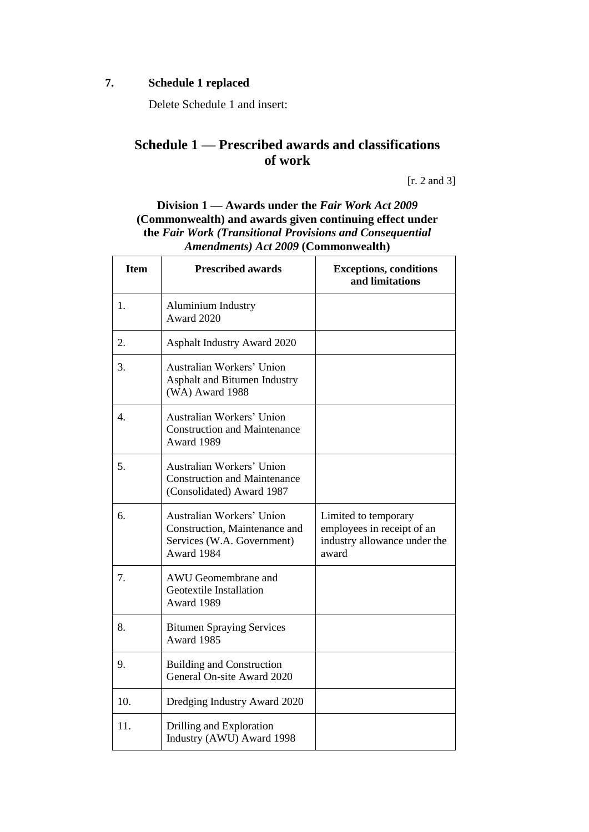### **7. Schedule 1 replaced**

Delete Schedule 1 and insert:

### **Schedule 1 — Prescribed awards and classifications of work**

[r. 2 and 3]

**Division 1 — Awards under the** *Fair Work Act 2009* **(Commonwealth) and awards given continuing effect under the** *Fair Work (Transitional Provisions and Consequential Amendments) Act 2009* **(Commonwealth)**

| <b>Item</b> | <b>Prescribed awards</b>                                                                               | <b>Exceptions, conditions</b><br>and limitations                                            |
|-------------|--------------------------------------------------------------------------------------------------------|---------------------------------------------------------------------------------------------|
| 1.          | Aluminium Industry<br>Award 2020                                                                       |                                                                                             |
| 2.          | Asphalt Industry Award 2020                                                                            |                                                                                             |
| 3.          | Australian Workers' Union<br>Asphalt and Bitumen Industry<br>(WA) Award 1988                           |                                                                                             |
| 4.          | Australian Workers' Union<br><b>Construction and Maintenance</b><br>Award 1989                         |                                                                                             |
| 5.          | Australian Workers' Union<br><b>Construction and Maintenance</b><br>(Consolidated) Award 1987          |                                                                                             |
| 6.          | Australian Workers' Union<br>Construction, Maintenance and<br>Services (W.A. Government)<br>Award 1984 | Limited to temporary<br>employees in receipt of an<br>industry allowance under the<br>award |
| 7.          | AWU Geomembrane and<br>Geotextile Installation<br>Award 1989                                           |                                                                                             |
| 8.          | <b>Bitumen Spraying Services</b><br>Award 1985                                                         |                                                                                             |
| 9.          | <b>Building and Construction</b><br>General On-site Award 2020                                         |                                                                                             |
| 10.         | Dredging Industry Award 2020                                                                           |                                                                                             |
| 11.         | Drilling and Exploration<br>Industry (AWU) Award 1998                                                  |                                                                                             |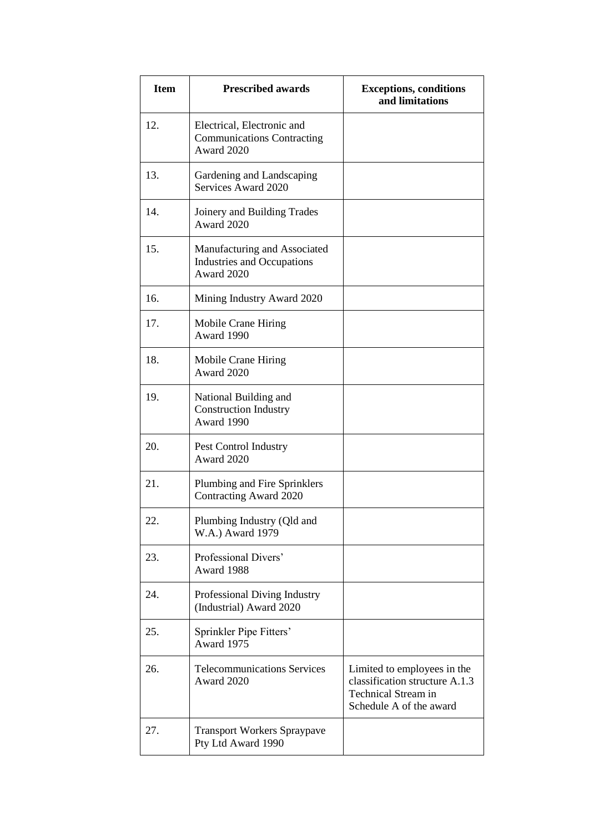| <b>Item</b> | <b>Prescribed awards</b>                                                        | <b>Exceptions, conditions</b><br>and limitations                                                                       |
|-------------|---------------------------------------------------------------------------------|------------------------------------------------------------------------------------------------------------------------|
| 12.         | Electrical, Electronic and<br><b>Communications Contracting</b><br>Award 2020   |                                                                                                                        |
| 13.         | Gardening and Landscaping<br>Services Award 2020                                |                                                                                                                        |
| 14.         | Joinery and Building Trades<br>Award 2020                                       |                                                                                                                        |
| 15.         | Manufacturing and Associated<br><b>Industries and Occupations</b><br>Award 2020 |                                                                                                                        |
| 16.         | Mining Industry Award 2020                                                      |                                                                                                                        |
| 17.         | Mobile Crane Hiring<br>Award 1990                                               |                                                                                                                        |
| 18.         | Mobile Crane Hiring<br>Award 2020                                               |                                                                                                                        |
| 19.         | National Building and<br><b>Construction Industry</b><br>Award 1990             |                                                                                                                        |
| 20.         | Pest Control Industry<br>Award 2020                                             |                                                                                                                        |
| 21.         | Plumbing and Fire Sprinklers<br>Contracting Award 2020                          |                                                                                                                        |
| 22.         | Plumbing Industry (Qld and<br>W.A.) Award 1979                                  |                                                                                                                        |
| 23.         | Professional Divers'<br>Award 1988                                              |                                                                                                                        |
| 24.         | Professional Diving Industry<br>(Industrial) Award 2020                         |                                                                                                                        |
| 25.         | Sprinkler Pipe Fitters'<br>Award 1975                                           |                                                                                                                        |
| 26.         | <b>Telecommunications Services</b><br>Award 2020                                | Limited to employees in the<br>classification structure A.1.3<br><b>Technical Stream in</b><br>Schedule A of the award |
| 27.         | <b>Transport Workers Spraypave</b><br>Pty Ltd Award 1990                        |                                                                                                                        |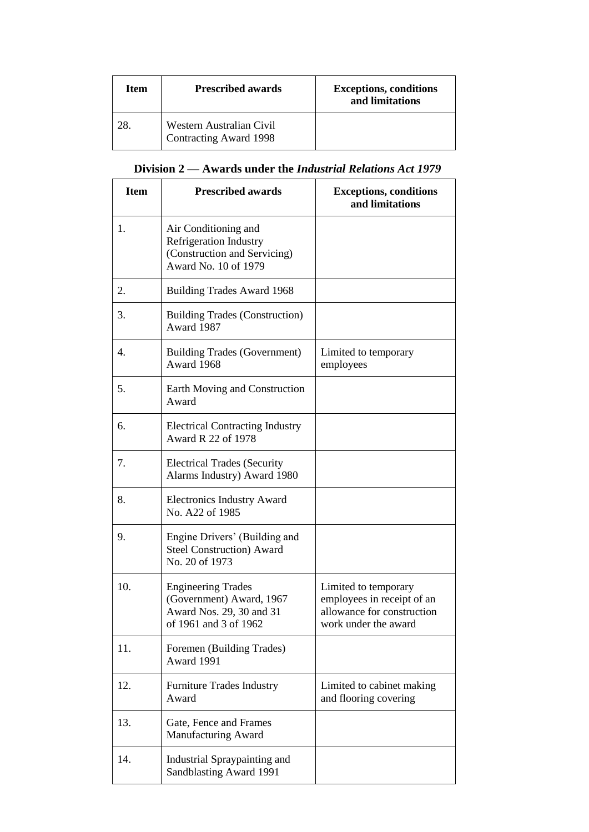| Item | <b>Prescribed awards</b>                                  | <b>Exceptions, conditions</b><br>and limitations |
|------|-----------------------------------------------------------|--------------------------------------------------|
| 28   | Western Australian Civil<br><b>Contracting Award 1998</b> |                                                  |

## **Division 2 — Awards under the** *Industrial Relations Act 1979*

| <b>Item</b> | <b>Prescribed awards</b>                                                                                      | <b>Exceptions, conditions</b><br>and limitations                                                         |
|-------------|---------------------------------------------------------------------------------------------------------------|----------------------------------------------------------------------------------------------------------|
| 1.          | Air Conditioning and<br><b>Refrigeration Industry</b><br>(Construction and Servicing)<br>Award No. 10 of 1979 |                                                                                                          |
| 2.          | <b>Building Trades Award 1968</b>                                                                             |                                                                                                          |
| 3.          | <b>Building Trades (Construction)</b><br>Award 1987                                                           |                                                                                                          |
| 4.          | <b>Building Trades (Government)</b><br>Award 1968                                                             | Limited to temporary<br>employees                                                                        |
| 5.          | Earth Moving and Construction<br>Award                                                                        |                                                                                                          |
| 6.          | <b>Electrical Contracting Industry</b><br>Award R 22 of 1978                                                  |                                                                                                          |
| 7.          | <b>Electrical Trades (Security</b><br>Alarms Industry) Award 1980                                             |                                                                                                          |
| 8.          | <b>Electronics Industry Award</b><br>No. A22 of 1985                                                          |                                                                                                          |
| 9.          | Engine Drivers' (Building and<br><b>Steel Construction) Award</b><br>No. 20 of 1973                           |                                                                                                          |
| 10.         | <b>Engineering Trades</b><br>(Government) Award, 1967<br>Award Nos. 29, 30 and 31<br>of 1961 and 3 of 1962    | Limited to temporary<br>employees in receipt of an<br>allowance for construction<br>work under the award |
| 11.         | Foremen (Building Trades)<br>Award 1991                                                                       |                                                                                                          |
| 12.         | <b>Furniture Trades Industry</b><br>Award                                                                     | Limited to cabinet making<br>and flooring covering                                                       |
| 13.         | Gate, Fence and Frames<br>Manufacturing Award                                                                 |                                                                                                          |
| 14.         | Industrial Spraypainting and<br>Sandblasting Award 1991                                                       |                                                                                                          |